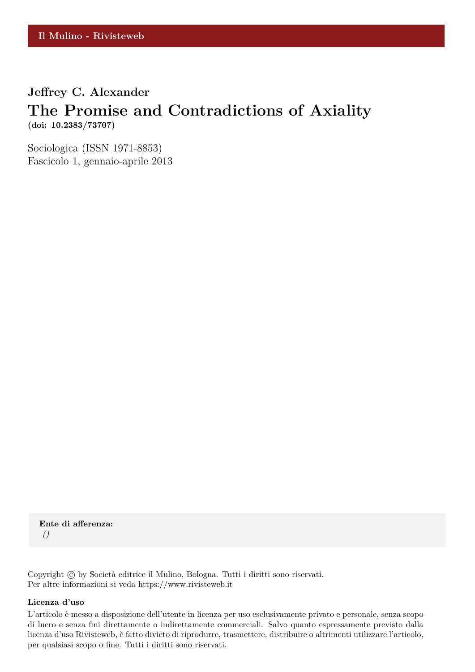### **Jeffrey C. Alexander**

# **The Promise and Contradictions of Axiality (doi: 10.2383/73707)**

Sociologica (ISSN 1971-8853) Fascicolo 1, gennaio-aprile 2013

**Ente di afferenza:** *()*

Copyright © by Società editrice il Mulino, Bologna. Tutti i diritti sono riservati. Per altre informazioni si veda https://www.rivisteweb.it

#### **Licenza d'uso**

L'articolo è messo a disposizione dell'utente in licenza per uso esclusivamente privato e personale, senza scopo di lucro e senza fini direttamente o indirettamente commerciali. Salvo quanto espressamente previsto dalla licenza d'uso Rivisteweb, è fatto divieto di riprodurre, trasmettere, distribuire o altrimenti utilizzare l'articolo, per qualsiasi scopo o fine. Tutti i diritti sono riservati.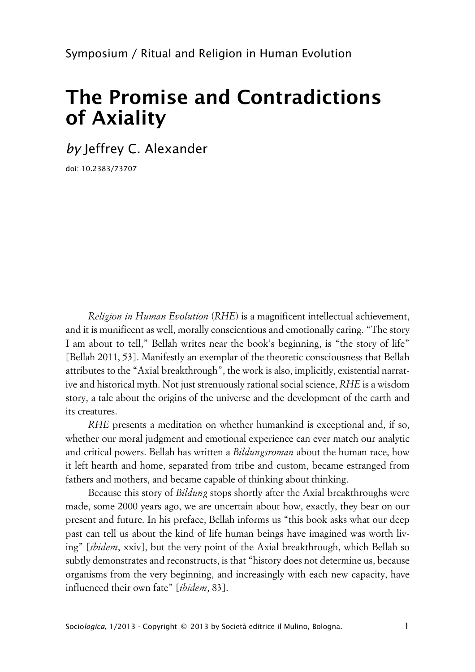# **The Promise and Contradictions of Axiality**

*by* Jeffrey C. Alexander

doi: 10.2383/73707

*Religion in Human Evolution* (*RHE*) is a magnificent intellectual achievement, and it is munificent as well, morally conscientious and emotionally caring. "The story I am about to tell," Bellah writes near the book's beginning, is "the story of life" [Bellah 2011, 53]. Manifestly an exemplar of the theoretic consciousness that Bellah attributes to the "Axial breakthrough", the work is also, implicitly, existential narrative and historical myth. Not just strenuously rational social science, *RHE* is a wisdom story, a tale about the origins of the universe and the development of the earth and its creatures.

*RHE* presents a meditation on whether humankind is exceptional and, if so, whether our moral judgment and emotional experience can ever match our analytic and critical powers. Bellah has written a *Bildungsroman* about the human race, how it left hearth and home, separated from tribe and custom, became estranged from fathers and mothers, and became capable of thinking about thinking.

Because this story of *Bildung* stops shortly after the Axial breakthroughs were made, some 2000 years ago, we are uncertain about how, exactly, they bear on our present and future. In his preface, Bellah informs us "this book asks what our deep past can tell us about the kind of life human beings have imagined was worth living" [*ibidem*, xxiv], but the very point of the Axial breakthrough, which Bellah so subtly demonstrates and reconstructs, is that "history does not determine us, because organisms from the very beginning, and increasingly with each new capacity, have influenced their own fate" [*ibidem*, 83].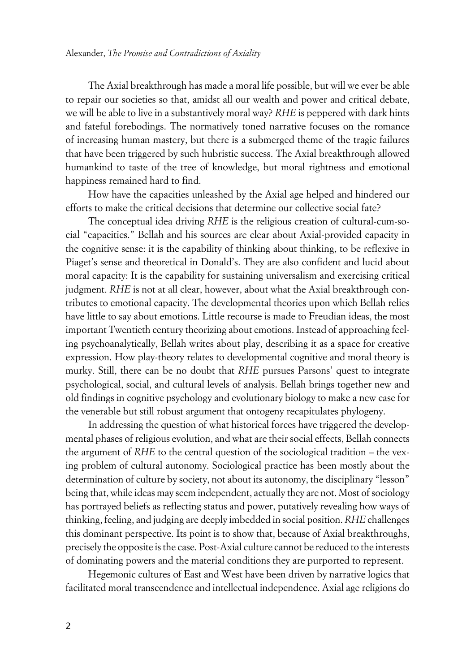The Axial breakthrough has made a moral life possible, but will we ever be able to repair our societies so that, amidst all our wealth and power and critical debate, we will be able to live in a substantively moral way? *RHE* is peppered with dark hints and fateful forebodings. The normatively toned narrative focuses on the romance of increasing human mastery, but there is a submerged theme of the tragic failures that have been triggered by such hubristic success. The Axial breakthrough allowed humankind to taste of the tree of knowledge, but moral rightness and emotional happiness remained hard to find.

How have the capacities unleashed by the Axial age helped and hindered our efforts to make the critical decisions that determine our collective social fate?

The conceptual idea driving *RHE* is the religious creation of cultural-cum-social "capacities." Bellah and his sources are clear about Axial-provided capacity in the cognitive sense: it is the capability of thinking about thinking, to be reflexive in Piaget's sense and theoretical in Donald's. They are also confident and lucid about moral capacity: It is the capability for sustaining universalism and exercising critical judgment. *RHE* is not at all clear, however, about what the Axial breakthrough contributes to emotional capacity. The developmental theories upon which Bellah relies have little to say about emotions. Little recourse is made to Freudian ideas, the most important Twentieth century theorizing about emotions. Instead of approaching feeling psychoanalytically, Bellah writes about play, describing it as a space for creative expression. How play-theory relates to developmental cognitive and moral theory is murky. Still, there can be no doubt that *RHE* pursues Parsons' quest to integrate psychological, social, and cultural levels of analysis. Bellah brings together new and old findings in cognitive psychology and evolutionary biology to make a new case for the venerable but still robust argument that ontogeny recapitulates phylogeny.

In addressing the question of what historical forces have triggered the developmental phases of religious evolution, and what are their social effects, Bellah connects the argument of *RHE* to the central question of the sociological tradition – the vexing problem of cultural autonomy. Sociological practice has been mostly about the determination of culture by society, not about its autonomy, the disciplinary "lesson" being that, while ideas may seem independent, actually they are not. Most of sociology has portrayed beliefs as reflecting status and power, putatively revealing how ways of thinking, feeling, and judging are deeply imbedded in social position. *RHE* challenges this dominant perspective. Its point is to show that, because of Axial breakthroughs, precisely the opposite is the case. Post-Axial culture cannot be reduced to the interests of dominating powers and the material conditions they are purported to represent.

Hegemonic cultures of East and West have been driven by narrative logics that facilitated moral transcendence and intellectual independence. Axial age religions do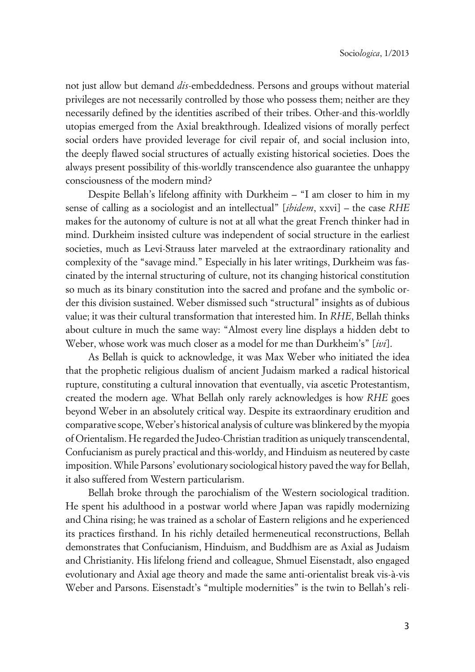not just allow but demand *dis*-embeddedness. Persons and groups without material privileges are not necessarily controlled by those who possess them; neither are they necessarily defined by the identities ascribed of their tribes. Other-and this-worldly utopias emerged from the Axial breakthrough. Idealized visions of morally perfect social orders have provided leverage for civil repair of, and social inclusion into, the deeply flawed social structures of actually existing historical societies. Does the always present possibility of this-worldly transcendence also guarantee the unhappy consciousness of the modern mind?

Despite Bellah's lifelong affinity with Durkheim – "I am closer to him in my sense of calling as a sociologist and an intellectual" [*ibidem*, xxvi] – the case *RHE* makes for the autonomy of culture is not at all what the great French thinker had in mind. Durkheim insisted culture was independent of social structure in the earliest societies, much as Levi-Strauss later marveled at the extraordinary rationality and complexity of the "savage mind." Especially in his later writings, Durkheim was fascinated by the internal structuring of culture, not its changing historical constitution so much as its binary constitution into the sacred and profane and the symbolic order this division sustained. Weber dismissed such "structural" insights as of dubious value; it was their cultural transformation that interested him. In *RHE*, Bellah thinks about culture in much the same way: "Almost every line displays a hidden debt to Weber, whose work was much closer as a model for me than Durkheim's" [*ivi*].

As Bellah is quick to acknowledge, it was Max Weber who initiated the idea that the prophetic religious dualism of ancient Judaism marked a radical historical rupture, constituting a cultural innovation that eventually, via ascetic Protestantism, created the modern age. What Bellah only rarely acknowledges is how *RHE* goes beyond Weber in an absolutely critical way. Despite its extraordinary erudition and comparative scope, Weber's historical analysis of culture was blinkered by the myopia of Orientalism. He regarded the Judeo-Christian tradition as uniquely transcendental, Confucianism as purely practical and this-worldy, and Hinduism as neutered by caste imposition. While Parsons' evolutionary sociological history paved the way for Bellah, it also suffered from Western particularism.

Bellah broke through the parochialism of the Western sociological tradition. He spent his adulthood in a postwar world where Japan was rapidly modernizing and China rising; he was trained as a scholar of Eastern religions and he experienced its practices firsthand. In his richly detailed hermeneutical reconstructions, Bellah demonstrates that Confucianism, Hinduism, and Buddhism are as Axial as Judaism and Christianity. His lifelong friend and colleague, Shmuel Eisenstadt, also engaged evolutionary and Axial age theory and made the same anti-orientalist break vis-à-vis Weber and Parsons. Eisenstadt's "multiple modernities" is the twin to Bellah's reli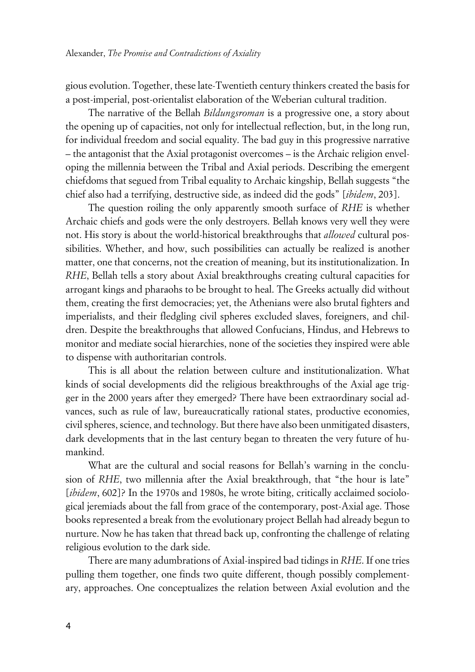gious evolution. Together, these late-Twentieth century thinkers created the basis for a post-imperial, post-orientalist elaboration of the Weberian cultural tradition.

The narrative of the Bellah *Bildungsroman* is a progressive one, a story about the opening up of capacities, not only for intellectual reflection, but, in the long run, for individual freedom and social equality. The bad guy in this progressive narrative – the antagonist that the Axial protagonist overcomes – is the Archaic religion enveloping the millennia between the Tribal and Axial periods. Describing the emergent chiefdoms that segued from Tribal equality to Archaic kingship, Bellah suggests "the chief also had a terrifying, destructive side, as indeed did the gods" [*ibidem*, 203].

The question roiling the only apparently smooth surface of *RHE* is whether Archaic chiefs and gods were the only destroyers. Bellah knows very well they were not. His story is about the world-historical breakthroughs that *allowed* cultural possibilities. Whether, and how, such possibilities can actually be realized is another matter, one that concerns, not the creation of meaning, but its institutionalization. In *RHE*, Bellah tells a story about Axial breakthroughs creating cultural capacities for arrogant kings and pharaohs to be brought to heal. The Greeks actually did without them, creating the first democracies; yet, the Athenians were also brutal fighters and imperialists, and their fledgling civil spheres excluded slaves, foreigners, and children. Despite the breakthroughs that allowed Confucians, Hindus, and Hebrews to monitor and mediate social hierarchies, none of the societies they inspired were able to dispense with authoritarian controls.

This is all about the relation between culture and institutionalization. What kinds of social developments did the religious breakthroughs of the Axial age trigger in the 2000 years after they emerged? There have been extraordinary social advances, such as rule of law, bureaucratically rational states, productive economies, civil spheres, science, and technology. But there have also been unmitigated disasters, dark developments that in the last century began to threaten the very future of humankind.

What are the cultural and social reasons for Bellah's warning in the conclusion of *RHE*, two millennia after the Axial breakthrough, that "the hour is late" [*ibidem*, 602]? In the 1970s and 1980s, he wrote biting, critically acclaimed sociological jeremiads about the fall from grace of the contemporary, post-Axial age. Those books represented a break from the evolutionary project Bellah had already begun to nurture. Now he has taken that thread back up, confronting the challenge of relating religious evolution to the dark side.

There are many adumbrations of Axial-inspired bad tidings in *RHE*. If one tries pulling them together, one finds two quite different, though possibly complementary, approaches. One conceptualizes the relation between Axial evolution and the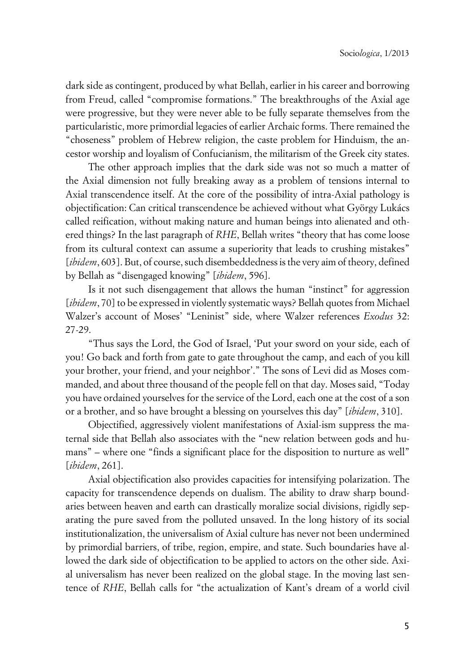dark side as contingent, produced by what Bellah, earlier in his career and borrowing from Freud, called "compromise formations." The breakthroughs of the Axial age were progressive, but they were never able to be fully separate themselves from the particularistic, more primordial legacies of earlier Archaic forms. There remained the "choseness" problem of Hebrew religion, the caste problem for Hinduism, the ancestor worship and loyalism of Confucianism, the militarism of the Greek city states.

The other approach implies that the dark side was not so much a matter of the Axial dimension not fully breaking away as a problem of tensions internal to Axial transcendence itself. At the core of the possibility of intra-Axial pathology is objectification: Can critical transcendence be achieved without what György Lukács called reification, without making nature and human beings into alienated and othered things? In the last paragraph of *RHE*, Bellah writes "theory that has come loose from its cultural context can assume a superiority that leads to crushing mistakes" [*ibidem*, 603]. But, of course, such disembeddedness is the very aim of theory, defined by Bellah as "disengaged knowing" [*ibidem*, 596].

Is it not such disengagement that allows the human "instinct" for aggression [*ibidem*, 70] to be expressed in violently systematic ways? Bellah quotes from Michael Walzer's account of Moses' "Leninist" side, where Walzer references *Exodus* 32: 27-29.

"Thus says the Lord, the God of Israel, 'Put your sword on your side, each of you! Go back and forth from gate to gate throughout the camp, and each of you kill your brother, your friend, and your neighbor'." The sons of Levi did as Moses commanded, and about three thousand of the people fell on that day. Moses said, "Today you have ordained yourselves for the service of the Lord, each one at the cost of a son or a brother, and so have brought a blessing on yourselves this day" [*ibidem*, 310].

Objectified, aggressively violent manifestations of Axial-ism suppress the maternal side that Bellah also associates with the "new relation between gods and humans" – where one "finds a significant place for the disposition to nurture as well" [*ibidem*, 261].

Axial objectification also provides capacities for intensifying polarization. The capacity for transcendence depends on dualism. The ability to draw sharp boundaries between heaven and earth can drastically moralize social divisions, rigidly separating the pure saved from the polluted unsaved. In the long history of its social institutionalization, the universalism of Axial culture has never not been undermined by primordial barriers, of tribe, region, empire, and state. Such boundaries have allowed the dark side of objectification to be applied to actors on the other side. Axial universalism has never been realized on the global stage. In the moving last sentence of *RHE*, Bellah calls for "the actualization of Kant's dream of a world civil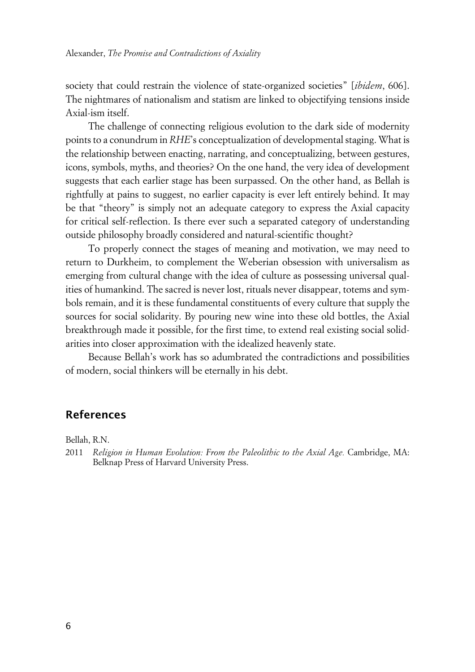society that could restrain the violence of state-organized societies" [*ibidem*, 606]. The nightmares of nationalism and statism are linked to objectifying tensions inside Axial-ism itself.

The challenge of connecting religious evolution to the dark side of modernity points to a conundrum in *RHE*'s conceptualization of developmental staging. What is the relationship between enacting, narrating, and conceptualizing, between gestures, icons, symbols, myths, and theories? On the one hand, the very idea of development suggests that each earlier stage has been surpassed. On the other hand, as Bellah is rightfully at pains to suggest, no earlier capacity is ever left entirely behind. It may be that "theory" is simply not an adequate category to express the Axial capacity for critical self-reflection. Is there ever such a separated category of understanding outside philosophy broadly considered and natural-scientific thought?

To properly connect the stages of meaning and motivation, we may need to return to Durkheim, to complement the Weberian obsession with universalism as emerging from cultural change with the idea of culture as possessing universal qualities of humankind. The sacred is never lost, rituals never disappear, totems and symbols remain, and it is these fundamental constituents of every culture that supply the sources for social solidarity. By pouring new wine into these old bottles, the Axial breakthrough made it possible, for the first time, to extend real existing social solidarities into closer approximation with the idealized heavenly state.

Because Bellah's work has so adumbrated the contradictions and possibilities of modern, social thinkers will be eternally in his debt.

### **References**

Bellah, R.N.

2011 *Religion in Human Evolution: From the Paleolithic to the Axial Age.* Cambridge, MA: Belknap Press of Harvard University Press.